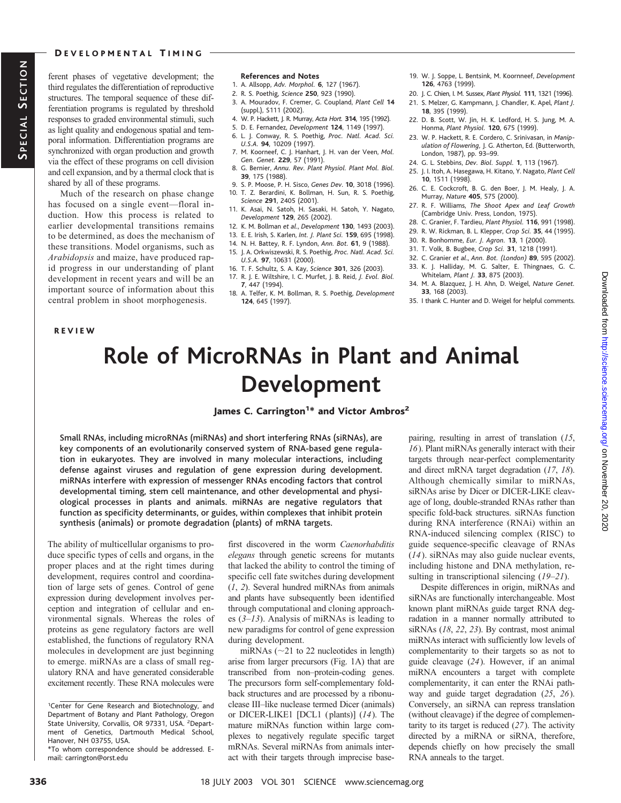#### DEVELOPMENTAL TIMING

ferent phases of vegetative development; the third regulates the differentiation of reproductive structures. The temporal sequence of these differentiation programs is regulated by threshold responses to graded environmental stimuli, such as light quality and endogenous spatial and temporal information. Differentiation programs are synchronized with organ production and growth via the effect of these programs on cell division and cell expansion, and by a thermal clock that is shared by all of these programs.

Much of the research on phase change has focused on a single event—floral induction. How this process is related to earlier developmental transitions remains to be determined, as does the mechanism of these transitions. Model organisms, such as *Arabidopsis* and maize, have produced rapid progress in our understanding of plant development in recent years and will be an important source of information about this central problem in shoot morphogenesis.

REVIEW

#### **References and Notes**

- 1. A. Allsopp, *Adv. Morphol.* **6**, 127 (1967).
- 2. R. S. Poethig, *Science* **250**, 923 (1990).
- 3. A. Mouradov, F. Cremer, G. Coupland, *Plant Cell* **14** (suppl.), S111 (2002).
- 4. W. P. Hackett, J. R. Murray, *Acta Hort.* **314**, 195 (1992).
- 5. D. E. Fernandez, *Development* **124**, 1149 (1997).
- 6. L. J. Conway, R. S. Poethig, *Proc. Natl. Acad. Sci. U.S.A.* **94**, 10209 (1997).
- 7. M. Koorneef, C. J. Hanhart, J. H. van der Veen, *Mol. Gen. Genet.* **229**, 57 (1991).
- 8. G. Bernier, *Annu. Rev. Plant Physiol. Plant Mol. Biol.* **39**, 175 (1988).
- 9. S. P. Moose, P. H. Sisco, *Genes Dev*. **10**, 3018 (1996).
- 10. T. Z. Berardini, K. Bollman, H. Sun, R. S. Poethig, *Science* **291**, 2405 (2001).
- 11. K. Asai, N. Satoh, H. Sasaki, H. Satoh, Y. Nagato, *Development* **129**, 265 (2002).
- 12. K. M. Bollman *et al*., *Development* **130**, 1493 (2003).
- 13. E. E. Irish, S. Karlen, *Int. J. Plant Sci.* **159**, 695 (1998).
- 14. N. H. Battey, R. F. Lyndon, *Ann. Bot.* **61**, 9 (1988).
- 15. J. A. Orkwiszewski, R. S. Poethig, *Proc. Natl. Acad. Sci. U.S.A.* **97**, 10631 (2000).
- 16. T. F. Schultz, S. A. Kay, *Science* **301**, 326 (2003). 17. R. J. E. Wiltshire, I. C. Murfet, J. B. Reid, *J. Evol. Biol.*
- **7**, 447 (1994).
- 18. A. Telfer, K. M. Bollman, R. S. Poethig, *Development* **124**, 645 (1997).
- 19. W. J. Soppe, L. Bentsink, M. Koornneef, *Development* **126**, 4763 (1999).
- 20. J. C. Chien, I. M. Sussex, *Plant Physiol.* **111**, 1321 (1996).
- 21. S. Melzer, G. Kampmann, J. Chandler, K. Apel, *Plant J.* **18**, 395 (1999).
- 22. D. B. Scott, W. Jin, H. K. Ledford, H. S. Jung, M. A. Honma, *Plant Physiol.* **120**, 675 (1999).
- 23. W. P. Hackett, R. E. Cordero, C. Srinivasan, in *Manipulation of Flowering,* J. G. Atherton, Ed. (Butterworth, London, 1987), pp. 93–99.
- 24. G. L. Stebbins, *Dev. Biol. Suppl.* **1**, 113 (1967).
- 25. J. I. Itoh, A. Hasegawa, H. Kitano, Y. Nagato, *Plant Cell* **10**, 1511 (1998).
- 26. C. E. Cockcroft, B. G. den Boer, J. M. Healy, J. A. Murray, *Nature* **405**, 575 (2000).
- 27. R. F. Williams, *The Shoot Apex and Leaf Growth* (Cambridge Univ. Press, London, 1975).
- 28. C. Granier, F. Tardieu, *Plant Physiol.* **116**, 991 (1998).
- 29. R. W. Rickman, B. L. Klepper, *Crop Sci.* **35**, 44 (1995).
- 30. R. Bonhomme, *Eur. J. Agron.* **13**, 1 (2000).
- 31. T. Volk, B. Bugbee, *Crop Sci.* **31**, 1218 (1991).
- 32. C. Granier *et al*., *Ann. Bot. (London)* **89**, 595 (2002).
- 33. K. J. Halliday, M. G. Salter, E. Thingnaes, G. C. Whitelam, *Plant J.* **33**, 875 (2003).
- 34. M. A. Blazquez, J. H. Ahn, D. Weigel, *Nature Genet.* **33**, 168 (2003).
- 35. I thank C. Hunter and D. Weigel for helpful comments.

# **Role of MicroRNAs in Plant and Animal Development**

# James C. Carrington<sup>1</sup>\* and Victor Ambros<sup>2</sup>

Small RNAs, including microRNAs (miRNAs) and short interfering RNAs (siRNAs), are key components of an evolutionarily conserved system of RNA-based gene regulation in eukaryotes. They are involved in many molecular interactions, including defense against viruses and regulation of gene expression during development. miRNAs interfere with expression of messenger RNAs encoding factors that control developmental timing, stem cell maintenance, and other developmental and physiological processes in plants and animals. miRNAs are negative regulators that function as specificity determinants, or guides, within complexes that inhibit protein synthesis (animals) or promote degradation (plants) of mRNA targets.

The ability of multicellular organisms to produce specific types of cells and organs, in the proper places and at the right times during development, requires control and coordination of large sets of genes. Control of gene expression during development involves perception and integration of cellular and environmental signals. Whereas the roles of proteins as gene regulatory factors are well established, the functions of regulatory RNA molecules in development are just beginning to emerge. miRNAs are a class of small regulatory RNA and have generated considerable excitement recently. These RNA molecules were

first discovered in the worm *Caenorhabditis elegans* through genetic screens for mutants that lacked the ability to control the timing of specific cell fate switches during development (*1*, *2*). Several hundred miRNAs from animals and plants have subsequently been identified through computational and cloning approaches (*3*–*13*). Analysis of miRNAs is leading to new paradigms for control of gene expression during development.

miRNAs ( $\sim$ 21 to 22 nucleotides in length) arise from larger precursors (Fig. 1A) that are transcribed from non–protein-coding genes. The precursors form self-complementary foldback structures and are processed by a ribonuclease III–like nuclease termed Dicer (animals) or DICER-LIKE1 [DCL1 (plants)] (*14*). The mature miRNAs function within large complexes to negatively regulate specific target mRNAs. Several miRNAs from animals interact with their targets through imprecise base-

pairing, resulting in arrest of translation (*15*, *16*). Plant miRNAs generally interact with their targets through near-perfect complementarity and direct mRNA target degradation (*17*, *18*). Although chemically similar to miRNAs, siRNAs arise by Dicer or DICER-LIKE cleavage of long, double-stranded RNAs rather than specific fold-back structures. siRNAs function during RNA interference (RNAi) within an RNA-induced silencing complex (RISC) to guide sequence-specific cleavage of RNAs (*14*). siRNAs may also guide nuclear events, including histone and DNA methylation, resulting in transcriptional silencing (*19*–*21*).

Despite differences in origin, miRNAs and siRNAs are functionally interchangeable. Most known plant miRNAs guide target RNA degradation in a manner normally attributed to siRNAs (*18*, *22*, *23*). By contrast, most animal miRNAs interact with sufficiently low levels of complementarity to their targets so as not to guide cleavage (*24*). However, if an animal miRNA encounters a target with complete complementarity, it can enter the RNAi pathway and guide target degradation (*25*, *26*). Conversely, an siRNA can repress translation (without cleavage) if the degree of complementarity to its target is reduced (*27*). The activity directed by a miRNA or siRNA, therefore, depends chiefly on how precisely the small RNA anneals to the target.

<sup>&</sup>lt;sup>1</sup>Center for Gene Research and Biotechnology, and Department of Botany and Plant Pathology, Oregon State University, Corvallis, OR 97331, USA. <sup>2</sup>Department of Genetics, Dartmouth Medical School, Hanover, NH 03755, USA.

<sup>\*</sup>To whom correspondence should be addressed. Email: carrington@orst.edu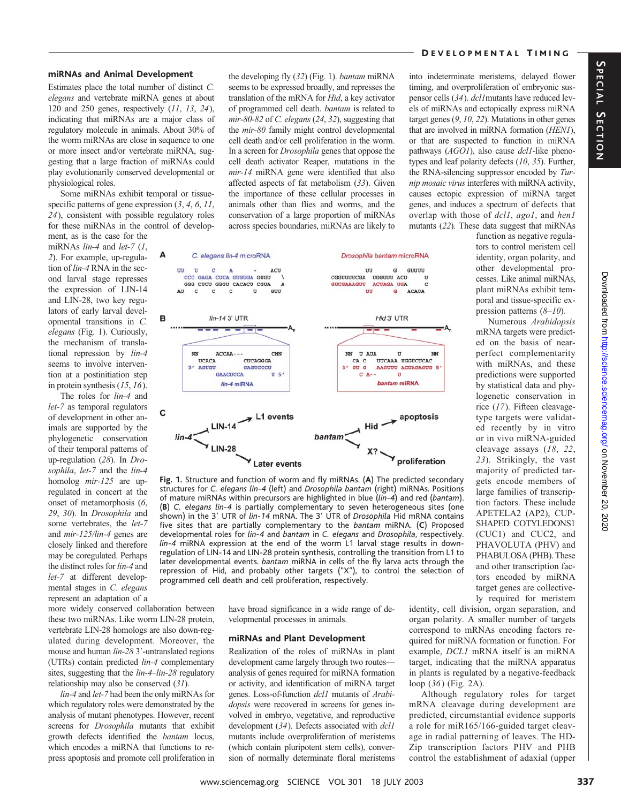### DEVELOPMENTAL TIMING

into indeterminate meristems, delayed flower timing, and overproliferation of embryonic suspensor cells (*34*). *dcl1*mutants have reduced levels of miRNAs and ectopically express miRNA target genes (*9*, *10*, *22*). Mutations in other genes that are involved in miRNA formation (*HEN1*), or that are suspected to function in miRNA pathways (*AGO1*), also cause *dcl1*-like phenotypes and leaf polarity defects (*10*, *35*). Further,

# SPECIAL SECTION **PECIAL SECTION**

#### **miRNAs and Animal Development**

Estimates place the total number of distinct *C. elegans* and vertebrate miRNA genes at about 120 and 250 genes, respectively (*11*, *13*, *24*), indicating that miRNAs are a major class of regulatory molecule in animals. About 30% of the worm miRNAs are close in sequence to one or more insect and/or vertebrate miRNA, suggesting that a large fraction of miRNAs could play evolutionarily conserved developmental or physiological roles.

Some miRNAs exhibit temporal or tissuespecific patterns of gene expression (*3*, *4*, *6*, *11*, *24*), consistent with possible regulatory roles for these miRNAs in the control of develop-

ment, as is the case for the miRNAs *lin-4* and *let-7* (*1*, *2*). For example, up-regulation of *lin-4* RNA in the second larval stage represses the expression of LIN-14 and LIN-28, two key regulators of early larval developmental transitions in *C. elegans* (Fig. 1). Curiously, the mechanism of translational repression by *lin-4* seems to involve intervention at a postinitiation step in protein synthesis (*15*, *16*).

The roles for *lin-4* and *let-7* as temporal regulators of development in other animals are supported by the phylogenetic conservation of their temporal patterns of up-regulation (*28*). In *Drosophila*, *let-7* and the *lin-4* homolog *mir-125* are upregulated in concert at the onset of metamorphosis (*6*, *29*, *30*). In *Drosophila* and some vertebrates, the *let-7* and *mir-125/lin-4* genes are closely linked and therefore may be coregulated. Perhaps the distinct roles for *lin-4* and *let-7* at different developmental stages in *C. elegans* represent an adaptation of a

more widely conserved collaboration between these two miRNAs. Like worm LIN-28 protein, vertebrate LIN-28 homologs are also down-regulated during development. Moreover, the mouse and human *lin-28* 3'-untranslated regions (UTRs) contain predicted *lin-4* complementary sites, suggesting that the *lin-4*–*lin-28* regulatory relationship may also be conserved (*31*).

*lin-4* and *let-7* had been the only miRNAs for which regulatory roles were demonstrated by the analysis of mutant phenotypes. However, recent screens for *Drosophila* mutants that exhibit growth defects identified the *bantam* locus, which encodes a miRNA that functions to repress apoptosis and promote cell proliferation in the developing fly (*32*) (Fig. 1). *bantam* miRNA seems to be expressed broadly, and represses the translation of the mRNA for *Hid*, a key activator of programmed cell death. *bantam* is related to *mir-80-82* of *C. elegans* (*24*, *32*), suggesting that the *mir-80* family might control developmental cell death and/or cell proliferation in the worm. In a screen for *Drosophila* genes that oppose the cell death activator Reaper, mutations in the *mir-14* miRNA gene were identified that also affected aspects of fat metabolism (*33*). Given the importance of these cellular processes in animals other than flies and worms, and the conservation of a large proportion of miRNAs across species boundaries, miRNAs are likely to



**Fig. 1.** Structure and function of worm and fly miRNAs. (**A**) The predicted secondary structures for *C. elegans lin-4* (left) and *Drosophila bantam* (right) miRNAs. Positions of mature miRNAs within precursors are highlighted in blue (*lin-4*) and red (*bantam*). (**B**) *C. elegans lin-4* is partially complementary to seven heterogeneous sites (one shown) in the 3' UTR of *lin-14* mRNA. The 3' UTR of *Drosophila* Hid mRNA contains five sites that are partially complementary to the *bantam* miRNA. (**C**) Proposed developmental roles for *lin-4* and *bantam* in *C. elegans* and *Drosophila*, respectively. *lin-4* miRNA expression at the end of the worm L1 larval stage results in downregulation of LIN-14 and LIN-28 protein synthesis, controlling the transition from L1 to later developmental events. *bantam* miRNA in cells of the fly larva acts through the repression of Hid, and probably other targets ("X"), to control the selection of programmed cell death and cell proliferation, respectively.

have broad significance in a wide range of developmental processes in animals.

#### **miRNAs and Plant Development**

Realization of the roles of miRNAs in plant development came largely through two routes analysis of genes required for miRNA formation or activity, and identification of miRNA target genes. Loss-of-function *dcl1* mutants of *Arabidopsis* were recovered in screens for genes involved in embryo, vegetative, and reproductive development (*34*). Defects associated with *dcl1* mutants include overproliferation of meristems (which contain pluripotent stem cells), conversion of normally determinate floral meristems identity, cell division, organ separation, and organ polarity. A smaller number of targets correspond to mRNAs encoding factors required for miRNA formation or function. For example, *DCL1* mRNA itself is an miRNA target, indicating that the miRNA apparatus in plants is regulated by a negative-feedback loop (*36*) (Fig. 2A).

Although regulatory roles for target mRNA cleavage during development are predicted, circumstantial evidence supports a role for miR165/166-guided target cleavage in radial patterning of leaves. The HD-Zip transcription factors PHV and PHB control the establishment of adaxial (upper

the RNA-silencing suppressor encoded by *Turnip mosaic virus* interferes with miRNA activity, causes ectopic expression of miRNA target genes, and induces a spectrum of defects that overlap with those of *dcl1*, *ago1*, and *hen1* mutants (*22*). These data suggest that miRNAs function as negative regulators to control meristem cell identity, organ polarity, and other developmental processes. Like animal miRNAs, plant miRNAs exhibit tem-

> poral and tissue-specific expression patterns (*8*–*10*). Numerous *Arabidopsis* mRNA targets were predicted on the basis of nearperfect complementarity with miRNAs, and these predictions were supported by statistical data and phylogenetic conservation in rice (*17*). Fifteen cleavagetype targets were validated recently by in vitro or in vivo miRNA-guided cleavage assays (*18*, *22*, *23*). Strikingly, the vast majority of predicted targets encode members of large families of transcription factors. These include APETELA2 (AP2), CUP-SHAPED COTYLEDONS1 (CUC1) and CUC2, and PHAVOLUTA (PHV) and PHABULOSA (PHB). These and other transcription factors encoded by miRNA target genes are collective-

ly required for meristem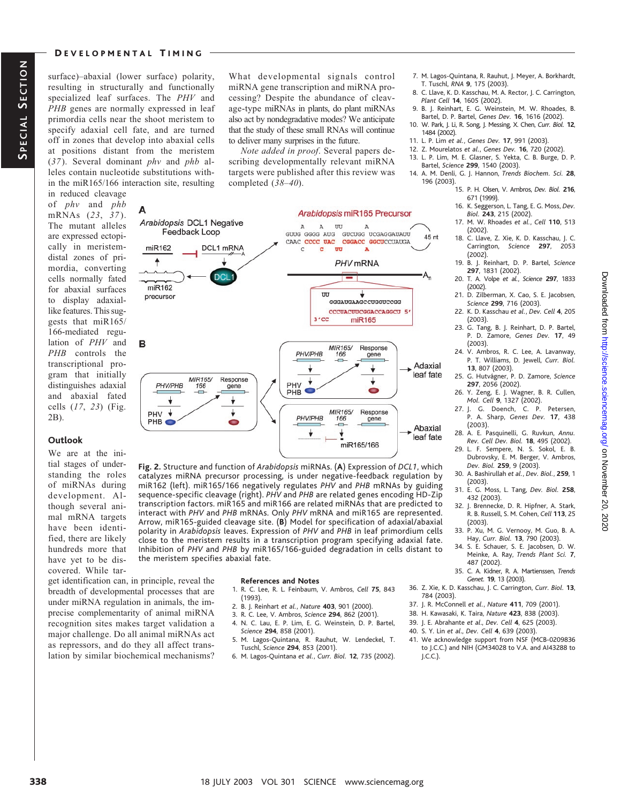#### DEVELOPMENTAL TIMING

surface)–abaxial (lower surface) polarity, resulting in structurally and functionally specialized leaf surfaces. The *PHV* and *PHB* genes are normally expressed in leaf primordia cells near the shoot meristem to specify adaxial cell fate, and are turned off in zones that develop into abaxial cells at positions distant from the meristem (*37*). Several dominant *phv* and *phb* alleles contain nucleotide substitutions within the miR165/166 interaction site, resulting

Δ

miR162

 $\blacktriangle$ 

in reduced cleavage of *phv* and *phb* mRNAs (*23*, *37* ). The mutant alleles are expressed ectopically in meristemdistal zones of primordia, converting cells normally fated for abaxial surfaces to display adaxiallike features. This suggests that miR165/ 166-mediated regulation of *PHV* and *PHB* controls the transcriptional program that initially distinguishes adaxial and abaxial fated cells (*17*, *23*) (Fig. 2B).

#### **Outlook**

tial stages of understanding the roles of miRNAs during development. Although several animal mRNA targets have been identified, there are likely hundreds more that have yet to be discovered. While tar-

breadth of developmental processes that are under miRNA regulation in animals, the imprecise complementarity of animal miRNA recognition sites makes target validation a major challenge. Do all animal miRNAs act as repressors, and do they all affect translation by similar biochemical mechanisms?

What developmental signals control miRNA gene transcription and miRNA processing? Despite the abundance of cleavage-type miRNAs in plants, do plant miRNAs also act by nondegradative modes? We anticipate that the study of these small RNAs will continue to deliver many surprises in the future.

*Note added in proof*. Several papers describing developmentally relevant miRNA targets were published after this review was completed (*38*–*40*).

> A A UU

 $\epsilon$  $\overline{\mathbf{c}}$  $\overline{uv}$ 

CAAC CCCC UAC

UU

 $3'$  CC

PHV/PHB

 $\downarrow$ 

MIR165/

166

Arabidopsis miR165 Precursor

PHV mRNA

GGGAUGAAGCCUGGUCCGG CCCUACUUCGGACCAGGCU

miR165

Response

gene

 $\overline{\mathbf{t}}$ 

GUUG GGGG AUG GUCUGG UCGAGGAUAUU

A

CGGACC GGCUCCUAUGA

45 nt

Adaxial leaf fate

馬

7. M. Lagos-Quintana, R. Rauhut, J. Meyer, A. Borkhardt, T. Tuschl, *RNA* **9**, 175 (2003).

- 8. C. Llave, K. D. Kasschau, M. A. Rector, J. C. Carrington, *Plant Cell* **14**, 1605 (2002).
- 9. B. J. Reinhart, E. G. Weinstein, M. W. Rhoades, B. Bartel, D. P. Bartel, *Genes Dev.* **16**, 1616 (2002).
- 10. W. Park, J. Li, R. Song, J. Messing, X. Chen, *Curr. Biol.* **12**, 1484 (2002).
- 11. L. P. Lim *et al.*, *Genes Dev.* **17**, 991 (2003).
- 12. Z. Mourelatos *et al.*, *Genes Dev.* **16**, 720 (2002).
- 13. L. P. Lim, M. E. Glasner, S. Yekta, C. B. Burge, D. P. Bartel, *Science* **299**, 1540 (2003).
- 14. A. M. Denli, G. J. Hannon, *Trends Biochem. Sci.* **28**, 196 (2003).
	- 15. P. H. Olsen, V. Ambros, *Dev. Biol.* **216**, 671 (1999).
	- 16. K. Seggerson, L. Tang, E. G. Moss, *Dev. Biol.* **243**, 215 (2002).
	- 17. M. W. Rhoades *et al.*, *Cell* **110**, 513 (2002).
	- 18. C. Llave, Z. Xie, K. D. Kasschau, J. C. Carrington, *Science* **297**, 2053 (2002).
	- 19. B. J. Reinhart, D. P. Bartel, *Science* **297**, 1831 (2002).
	- 20. T. A. Volpe *et al.*, *Science* **297**, 1833 (2002).
	- 21. D. Zilberman, X. Cao, S. E. Jacobsen, *Science* **299**, 716 (2003).
	- 22. K. D. Kasschau *et al.*, *Dev. Cell* **4**, 205 (2003). 23. G. Tang, B. J. Reinhart, D. P. Bartel,
	- P. D. Zamore, *Genes Dev.* **17**, 49 (2003).
	- 24. V. Ambros, R. C. Lee, A. Lavanway, P. T. Williams, D. Jewell, *Curr. Biol.* **13**, 807 (2003).
	- 25. G. Hutvágner, P. D. Zamore, Science **297**, 2056 (2002).
	- 26. Y. Zeng, E. J. Wagner, B. R. Cullen, *Mol. Cell* **9**, 1327 (2002).
	- 27. J. G. Doench, C. P. Petersen, P. A. Sharp, *Genes Dev.* **17**, 438 (2003).
	- 28. A. E. Pasquinelli, G. Ruvkun, *Annu. Rev. Cell Dev. Biol.* **18**, 495 (2002).
	- 29. L. F. Sempere, N. S. Sokol, E. B. Dubrovsky, E. M. Berger, V. Ambros, *Dev. Biol.* **259**, 9 (2003).
	- 30. A. Bashirullah *et al.*, *Dev. Biol.*, **259**, 1 (2003).
	- 31. E. G. Moss, L. Tang, *Dev. Biol.* **258**, 432 (2003).
	- 32. J. Brennecke, D. R. Hipfner, A. Stark, R. B. Russell, S. M. Cohen, *Cell* **113**, 25 (2003).
	- 33. P. Xu, M. G. Vernooy, M. Guo, B. A. Hay, *Curr. Biol.* **13**, 790 (2003).
	- 34. S. E. Schauer, S. E. Jacobsen, D. W. Meinke, A. Ray, *Trends Plant Sci.* **7**, 487 (2002).
	- 35. C. A. Kidner, R. A. Martienssen, *Trends Genet.* **19**, 13 (2003).
- 36. Z. Xie, K. D. Kasschau, J. C. Carrington, *Curr. Biol.* **13**, 784 (2003).
- 37. J. R. McConnell *et al.*, *Nature* **411**, 709 (2001).
- 38. H. Kawasaki, K. Taira, *Nature* **423**, 838 (2003).
- 39. J. E. Abrahante *et al*., *Dev. Cell* **4**, 625 (2003).
- 40. S. Y. Lin *et al*., *Dev. Cell* **4**, 639 (2003).
- 41. We acknowledge support from NSF (MCB-0209836 to J.C.C.) and NIH (GM34028 to V.A. and AI43288 to J.C.C.).

 $PHB$  $\bullet$ PHV +  $\overline{\mathbf{v}}$ MIR165/ Response PHV/PHB gene 166 PHB<sup>C</sup>  $\blacksquare$  $\Box$ Abaxial Ŧ leaf fate miR165/166 **Fig. 2.** Structure and function of *Arabidopsis* miRNAs. (**A**) Expression of *DCL1*, which catalyzes miRNA precursor processing, is under negative-feedback regulation by miR162 (left). miR165/166 negatively regulates *PHV* and *PHB* mRNAs by guiding sequence-specific cleavage (right). *PHV* and *PHB* are related genes encoding HD-Zip transcription factors. miR165 and miR166 are related miRNAs that are predicted to interact with *PHV* and *PHB* mRNAs. Only *PHV* mRNA and miR165 are represented. Arrow, miR165-guided cleavage site. (**B**) Model for specification of adaxial/abaxial polarity in *Arabidopsis* leaves. Expression of *PHV* and *PHB* in leaf primordium cells

**References and Notes**

close to the meristem results in a transcription program specifying adaxial fate. Inhibition of *PHV* and *PHB* by miR165/166-guided degradation in cells distant to

- 1. R. C. Lee, R. L. Feinbaum, V. Ambros, *Cell* **75**, 843 (1993).
- 2. B. J. Reinhart *et al.*, *Nature* **403**, 901 (2000).
- 3. R. C. Lee, V. Ambros, *Science* **294**, 862 (2001).
- 4. N. C. Lau, E. P. Lim, E. G. Weinstein, D. P. Bartel, *Science* **294**, 858 (2001).
- 5. M. Lagos-Quintana, R. Rauhut, W. Lendeckel, T. Tuschl, *Science* **294**, 853 (2001).
- 6. M. Lagos-Quintana *et al.*, *Curr. Biol.* **12**, 735 (2002).

**338** 18 JULY 2003 VOL 301 SCIENCE www.sciencemag.org

<u>ທ</u>

DCI  $mIR162$ precursor B MIR165/ Response PHV **PHV/PHB** 166 gene

DCL1 mRNA

Arabidopsis DCL1 Negative

Feedback Loop

the meristem specifies abaxial fate.

We are at the ini-